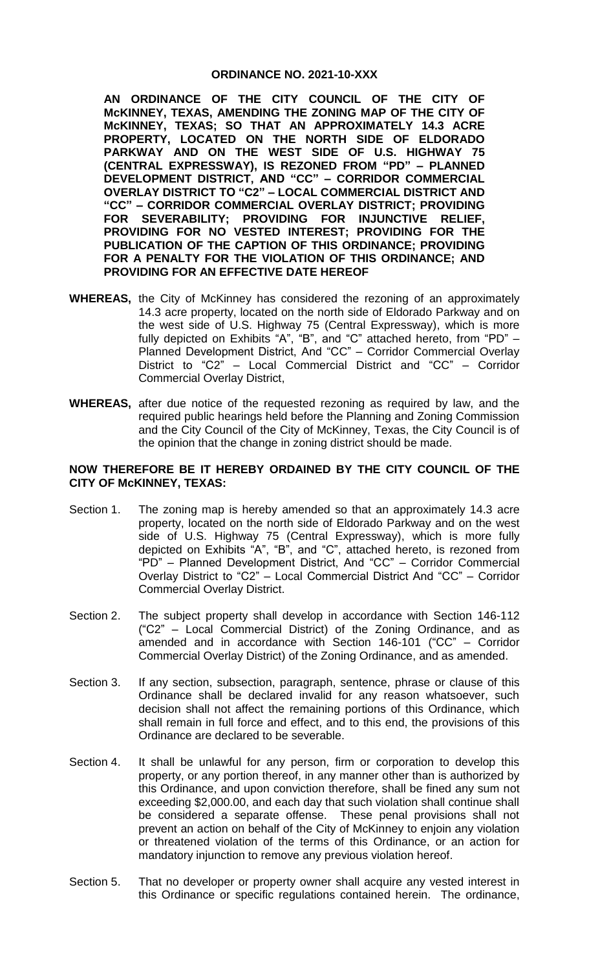## **ORDINANCE NO. 2021-10-XXX**

**AN ORDINANCE OF THE CITY COUNCIL OF THE CITY OF McKINNEY, TEXAS, AMENDING THE ZONING MAP OF THE CITY OF McKINNEY, TEXAS; SO THAT AN APPROXIMATELY 14.3 ACRE PROPERTY, LOCATED ON THE NORTH SIDE OF ELDORADO PARKWAY AND ON THE WEST SIDE OF U.S. HIGHWAY 75 (CENTRAL EXPRESSWAY), IS REZONED FROM "PD" – PLANNED DEVELOPMENT DISTRICT, AND "CC" – CORRIDOR COMMERCIAL OVERLAY DISTRICT TO "C2" – LOCAL COMMERCIAL DISTRICT AND "CC" – CORRIDOR COMMERCIAL OVERLAY DISTRICT; PROVIDING FOR SEVERABILITY; PROVIDING FOR INJUNCTIVE RELIEF, PROVIDING FOR NO VESTED INTEREST; PROVIDING FOR THE PUBLICATION OF THE CAPTION OF THIS ORDINANCE; PROVIDING FOR A PENALTY FOR THE VIOLATION OF THIS ORDINANCE; AND PROVIDING FOR AN EFFECTIVE DATE HEREOF**

- **WHEREAS,** the City of McKinney has considered the rezoning of an approximately 14.3 acre property, located on the north side of Eldorado Parkway and on the west side of U.S. Highway 75 (Central Expressway), which is more fully depicted on Exhibits "A", "B", and "C" attached hereto, from "PD" – Planned Development District, And "CC" – Corridor Commercial Overlay District to "C2" – Local Commercial District and "CC" – Corridor Commercial Overlay District,
- **WHEREAS,** after due notice of the requested rezoning as required by law, and the required public hearings held before the Planning and Zoning Commission and the City Council of the City of McKinney, Texas, the City Council is of the opinion that the change in zoning district should be made.

## **NOW THEREFORE BE IT HEREBY ORDAINED BY THE CITY COUNCIL OF THE CITY OF McKINNEY, TEXAS:**

- Section 1. The zoning map is hereby amended so that an approximately 14.3 acre property, located on the north side of Eldorado Parkway and on the west side of U.S. Highway 75 (Central Expressway), which is more fully depicted on Exhibits "A", "B", and "C", attached hereto, is rezoned from "PD" – Planned Development District, And "CC" – Corridor Commercial Overlay District to "C2" – Local Commercial District And "CC" – Corridor Commercial Overlay District.
- Section 2. The subject property shall develop in accordance with Section 146-112 ("C2" – Local Commercial District) of the Zoning Ordinance, and as amended and in accordance with Section 146-101 ("CC" – Corridor Commercial Overlay District) of the Zoning Ordinance, and as amended.
- Section 3. If any section, subsection, paragraph, sentence, phrase or clause of this Ordinance shall be declared invalid for any reason whatsoever, such decision shall not affect the remaining portions of this Ordinance, which shall remain in full force and effect, and to this end, the provisions of this Ordinance are declared to be severable.
- Section 4. It shall be unlawful for any person, firm or corporation to develop this property, or any portion thereof, in any manner other than is authorized by this Ordinance, and upon conviction therefore, shall be fined any sum not exceeding \$2,000.00, and each day that such violation shall continue shall be considered a separate offense. These penal provisions shall not prevent an action on behalf of the City of McKinney to enjoin any violation or threatened violation of the terms of this Ordinance, or an action for mandatory injunction to remove any previous violation hereof.
- Section 5. That no developer or property owner shall acquire any vested interest in this Ordinance or specific regulations contained herein. The ordinance,